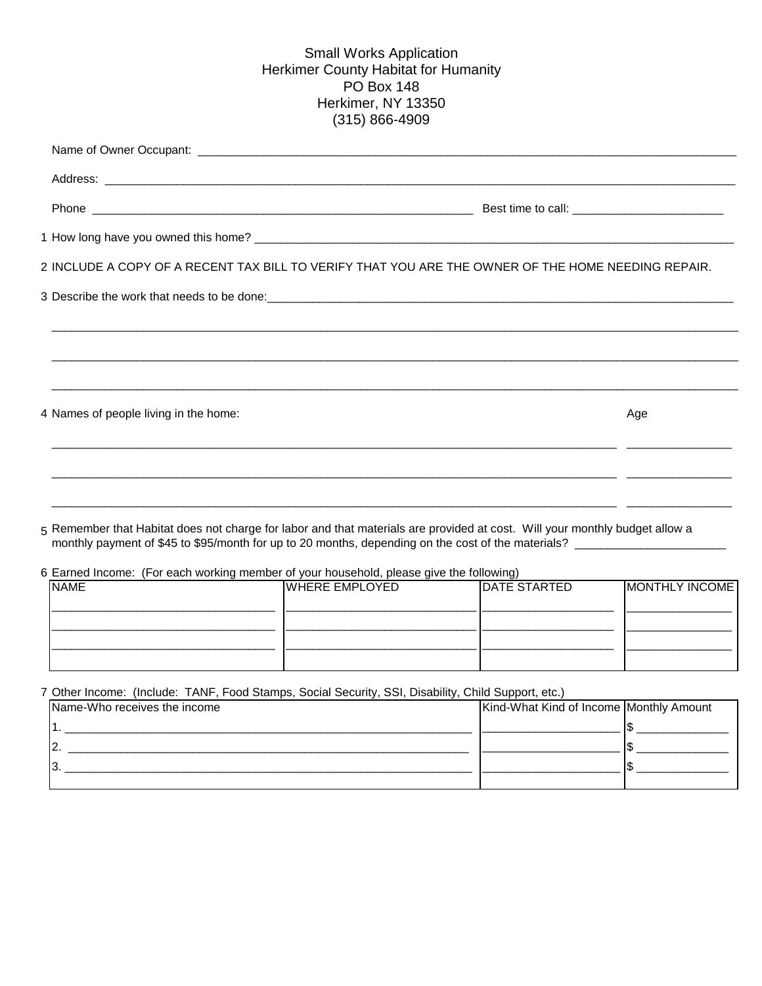## (315) 866-4909 Small Works Application Herkimer County Habitat for Humanity PO Box 148 Herkimer, NY 13350

| 2 INCLUDE A COPY OF A RECENT TAX BILL TO VERIFY THAT YOU ARE THE OWNER OF THE HOME NEEDING REPAIR.                          |     |
|-----------------------------------------------------------------------------------------------------------------------------|-----|
|                                                                                                                             |     |
|                                                                                                                             |     |
|                                                                                                                             |     |
|                                                                                                                             |     |
| 4 Names of people living in the home:                                                                                       | Age |
|                                                                                                                             |     |
|                                                                                                                             |     |
| 5 Remember that Habitat does not charge for labor and that materials are provided at cost. Will your monthly budget allow a |     |

6 Earned Income: (For each working member of your household, please give the following)

| <b>NAME</b> | <b>WHERE EMPLOYED</b> | DATE STARTED | MONTHLY INCOME |
|-------------|-----------------------|--------------|----------------|
|             |                       |              |                |
|             |                       |              |                |
|             |                       |              |                |
|             |                       |              |                |

7 Other Income: (Include: TANF, Food Stamps, Social Security, SSI, Disability, Child Support, etc.)

| Name-Who receives the income | Kind-What Kind of Income Monthly Amount |  |
|------------------------------|-----------------------------------------|--|
|                              |                                         |  |
|                              |                                         |  |
|                              |                                         |  |
|                              |                                         |  |